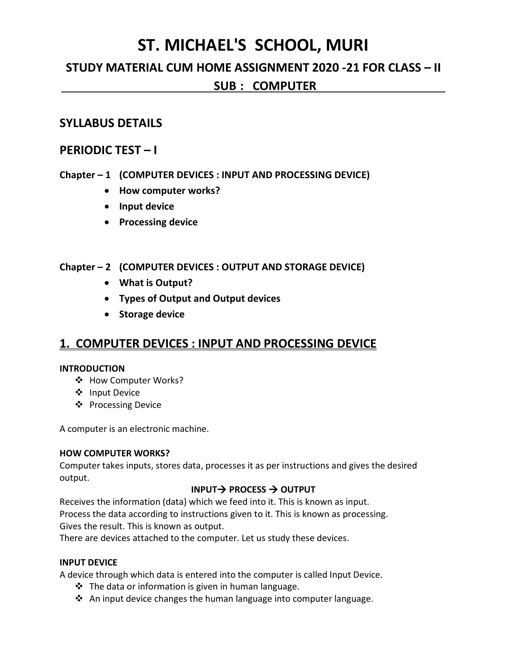# **ST. MICHAEL'S SCHOOL, MURI**

## **STUDY MATERIAL CUM HOME ASSIGNMENT 2020 -21 FOR CLASS – II**

## **SUB : COMPUTER .**

## **SYLLABUS DETAILS**

## **PERIODIC TEST – I**

## **Chapter – 1 (COMPUTER DEVICES : INPUT AND PROCESSING DEVICE)**

- **How computer works?**
- **Input device**
- **•** Processing device

## **Chapter – 2 (COMPUTER DEVICES : OUTPUT AND STORAGE DEVICE)**

- **What is Output?**
- **Types of Output and Output devices**
- **•** Storage device

## **1. COMPUTER DEVICES : INPUT AND PROCESSING DEVICE**

## **INTRODUCTION**

- ❖ How Computer Works?
- ❖ Input Device
- ❖ Processing Device

A computer is an electronic machine.

## **HOW COMPUTER WORKS?**

Computer takes inputs, stores data, processes it as per instructions and gives the desired output.

## **INPUT PROCESS OUTPUT**

Receives the information (data) which we feed into it. This is known as input. Process the data according to instructions given to it. This is known as processing. Gives the result. This is known as output.

There are devices attached to the computer. Let us study these devices.

## **INPUT DEVICE**

A device through which data is entered into the computer is called Input Device.

- $\cdot \cdot$  The data or information is given in human language.
- $\cdot$  An input device changes the human language into computer language.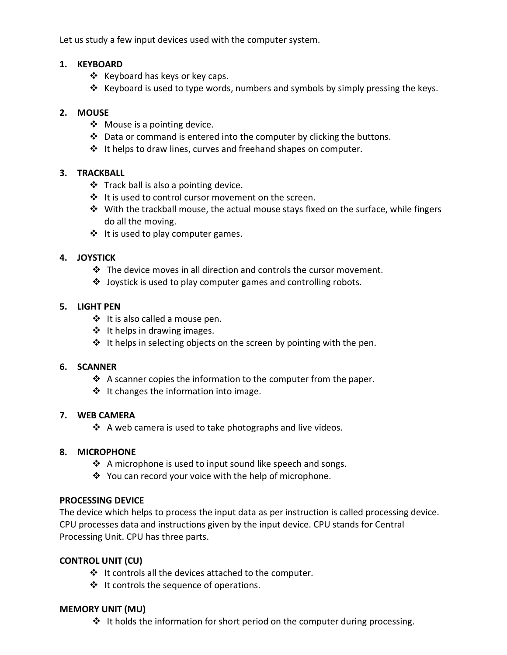Let us study a few input devices used with the computer system.

## **1. KEYBOARD**

- $\clubsuit$  Keyboard has keys or key caps.
- $\clubsuit$  Keyboard is used to type words, numbers and symbols by simply pressing the keys.

## **2. MOUSE**

- ❖ Mouse is a pointing device.
- $\cdot \cdot$  Data or command is entered into the computer by clicking the buttons.
- ❖ It helps to draw lines, curves and freehand shapes on computer.

## **3. TRACKBALL**

- $\div$  Track ball is also a pointing device.
- ❖ It is used to control cursor movement on the screen.
- $\div$  With the trackball mouse, the actual mouse stays fixed on the surface, while fingers do all the moving.
- $\triangleq$  It is used to play computer games.

## **4. JOYSTICK**

- $\cdot$  The device moves in all direction and controls the cursor movement.
- Joystick is used to play computer games and controlling robots.

## **5. LIGHT PEN**

- $\div$  It is also called a mouse pen.
- $\div$  It helps in drawing images.
- $\cdot \cdot$  It helps in selecting objects on the screen by pointing with the pen.

## **6. SCANNER**

- $\cdot$  A scanner copies the information to the computer from the paper.
- $\cdot \cdot$  It changes the information into image.

### **7. WEB CAMERA**

 $\clubsuit$  A web camera is used to take photographs and live videos.

### **8. MICROPHONE**

- $\triangleleft$  A microphone is used to input sound like speech and songs.
- $\clubsuit$  You can record your voice with the help of microphone.

### **PROCESSING DEVICE**

The device which helps to process the input data as per instruction is called processing device. CPU processes data and instructions given by the input device. CPU stands for Central Processing Unit. CPU has three parts.

### **CONTROL UNIT (CU)**

- $\cdot \cdot$  It controls all the devices attached to the computer.
- $\cdot \cdot$  It controls the sequence of operations.

### **MEMORY UNIT (MU)**

 $\cdot \cdot$  It holds the information for short period on the computer during processing.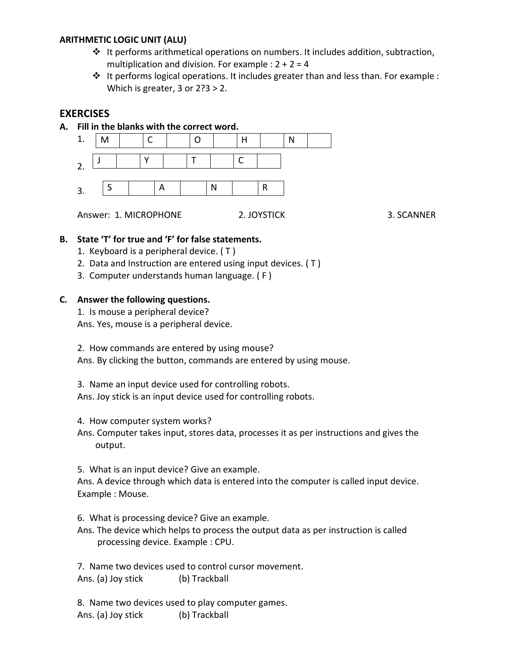### **ARITHMETIC LOGIC UNIT (ALU)**

- $\div$  It performs arithmetical operations on numbers. It includes addition, subtraction, multiplication and division. For example :  $2 + 2 = 4$
- It performs logical operations. It includes greater than and less than. For example : Which is greater, 3 or 2?3 > 2.

## **EXERCISES**

**A. Fill in the blanks with the correct word.**



Answer: 1. MICROPHONE 2. JOYSTICK 3. SCANNER

## **B. State 'T' for true and 'F' for false statements.**

- 1. Keyboard is a peripheral device. ( T )
- 2. Data and Instruction are entered using input devices. ( T )
- 3. Computer understands human language. ( F )

#### **C. Answer the following questions.**

1. Is mouse a peripheral device?

Ans. Yes, mouse is a peripheral device.

2. How commands are entered by using mouse?

Ans. By clicking the button, commands are entered by using mouse.

3. Name an input device used for controlling robots.

Ans. Joy stick is an input device used for controlling robots.

4. How computer system works?

Ans. Computer takes input, stores data, processes it as per instructions and gives the output.

5. What is an input device? Give an example.

Ans. A device through which data is entered into the computer is called input device. Example : Mouse.

6. What is processing device? Give an example.

Ans. The device which helps to process the output data as per instruction is called processing device. Example : CPU.

7. Name two devices used to control cursor movement. Ans. (a) Joy stick (b) Trackball

8. Name two devices used to play computer games. Ans. (a) Joy stick (b) Trackball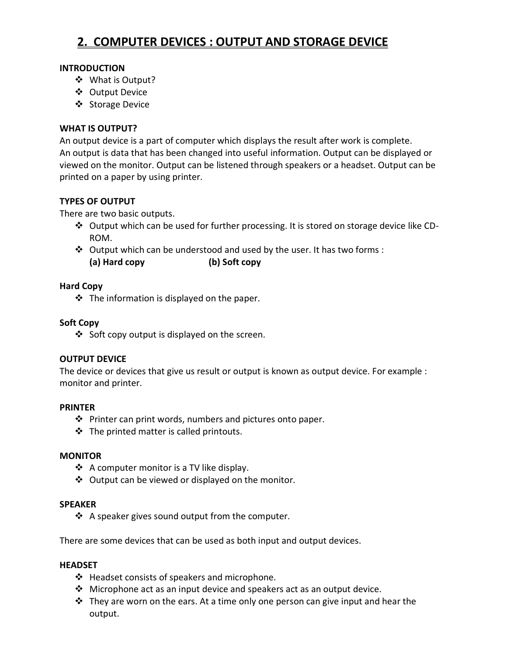## **2. COMPUTER DEVICES : OUTPUT AND STORAGE DEVICE**

### **INTRODUCTION**

- What is Output?
- Output Device
- ❖ Storage Device

## **WHAT IS OUTPUT?**

An output device is a part of computer which displays the result after work is complete. An output is data that has been changed into useful information. Output can be displayed or viewed on the monitor. Output can be listened through speakers or a headset. Output can be printed on a paper by using printer.

## **TYPES OF OUTPUT**

There are two basic outputs.

- $\clubsuit$  Output which can be used for further processing. It is stored on storage device like CD-ROM.
- Output which can be understood and used by the user. It has two forms : **(a) Hard copy (b) Soft copy**

### **Hard Copy**

 $\cdot$  The information is displayed on the paper.

## **Soft Copy**

 $\cdot$  Soft copy output is displayed on the screen.

### **OUTPUT DEVICE**

The device or devices that give us result or output is known as output device. For example : monitor and printer.

#### **PRINTER**

- $\cdot$  Printer can print words, numbers and pictures onto paper.
- $\div$  The printed matter is called printouts.

#### **MONITOR**

- $\clubsuit$  A computer monitor is a TV like display.
- $\triangleleft$  Output can be viewed or displayed on the monitor.

#### **SPEAKER**

 $\cdot$  A speaker gives sound output from the computer.

There are some devices that can be used as both input and output devices.

#### **HEADSET**

- ❖ Headset consists of speakers and microphone.
- $\cdot$  Microphone act as an input device and speakers act as an output device.
- $\cdot \cdot$  They are worn on the ears. At a time only one person can give input and hear the output.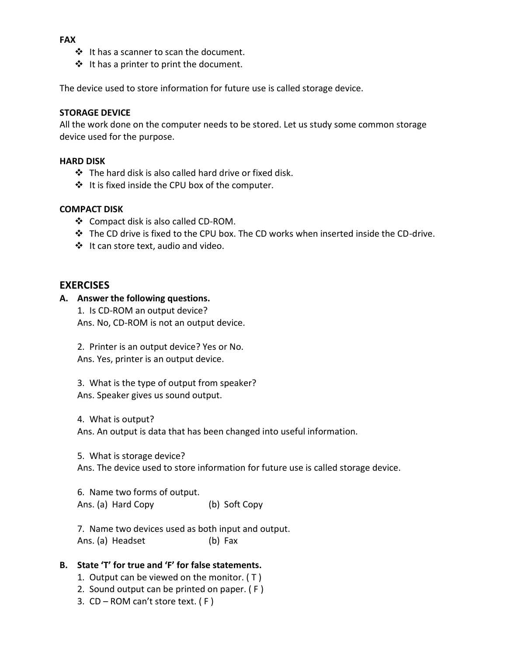#### **FAX**

- $\cdot$  It has a scanner to scan the document.
- $\cdot \cdot$  It has a printer to print the document.

The device used to store information for future use is called storage device.

## **STORAGE DEVICE**

All the work done on the computer needs to be stored. Let us study some common storage device used for the purpose.

## **HARD DISK**

- $\div$  The hard disk is also called hard drive or fixed disk.
- $\cdot$  It is fixed inside the CPU box of the computer.

## **COMPACT DISK**

- ❖ Compact disk is also called CD-ROM.
- $\cdot \cdot$  The CD drive is fixed to the CPU box. The CD works when inserted inside the CD-drive.
- ❖ It can store text, audio and video.

## **EXERCISES**

### **A. Answer the following questions.**

1. Is CD-ROM an output device? Ans. No, CD-ROM is not an output device.

2. Printer is an output device? Yes or No.

Ans. Yes, printer is an output device.

3. What is the type of output from speaker? Ans. Speaker gives us sound output.

4. What is output?

Ans. An output is data that has been changed into useful information.

5. What is storage device?

Ans. The device used to store information for future use is called storage device.

6. Name two forms of output. Ans. (a) Hard Copy (b) Soft Copy

7. Name two devices used as both input and output. Ans. (a) Headset (b) Fax

## **B. State 'T' for true and 'F' for false statements.**

- 1. Output can be viewed on the monitor. ( T )
- 2. Sound output can be printed on paper. ( F )
- 3. CD ROM can't store text. ( F )